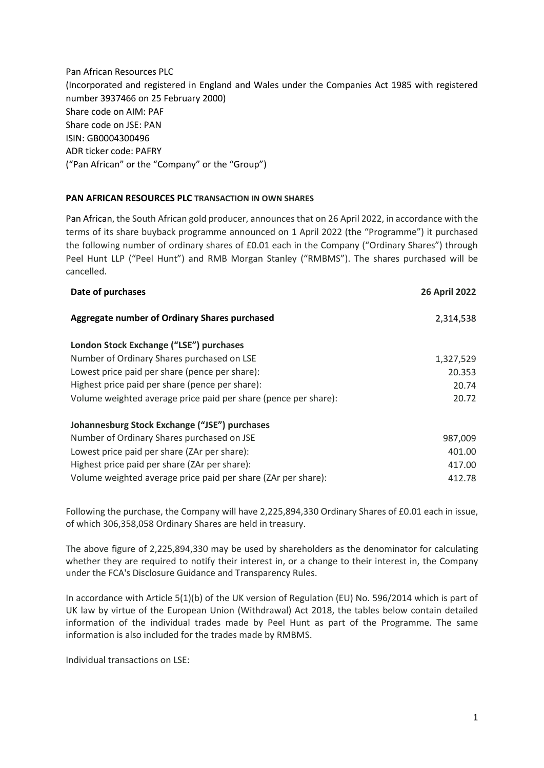Pan African Resources PLC (Incorporated and registered in England and Wales under the Companies Act 1985 with registered number 3937466 on 25 February 2000) Share code on AIM: PAF Share code on JSE: PAN ISIN: GB0004300496 ADR ticker code: PAFRY ("Pan African" or the "Company" or the "Group")

## **PAN AFRICAN RESOURCES PLC TRANSACTION IN OWN SHARES**

Pan African, the South African gold producer, announces that on 26 April 2022, in accordance with the terms of its share buyback programme announced on 1 April 2022 (the "Programme") it purchased the following number of ordinary shares of £0.01 each in the Company ("Ordinary Shares") through Peel Hunt LLP ("Peel Hunt") and RMB Morgan Stanley ("RMBMS"). The shares purchased will be cancelled.

| Date of purchases                                               | <b>26 April 2022</b> |
|-----------------------------------------------------------------|----------------------|
| Aggregate number of Ordinary Shares purchased                   | 2,314,538            |
| London Stock Exchange ("LSE") purchases                         |                      |
| Number of Ordinary Shares purchased on LSE                      | 1,327,529            |
| Lowest price paid per share (pence per share):                  | 20.353               |
| Highest price paid per share (pence per share):                 | 20.74                |
| Volume weighted average price paid per share (pence per share): | 20.72                |
| Johannesburg Stock Exchange ("JSE") purchases                   |                      |
| Number of Ordinary Shares purchased on JSE                      | 987,009              |
| Lowest price paid per share (ZAr per share):                    | 401.00               |
| Highest price paid per share (ZAr per share):                   | 417.00               |
| Volume weighted average price paid per share (ZAr per share):   | 412.78               |
|                                                                 |                      |

Following the purchase, the Company will have 2,225,894,330 Ordinary Shares of £0.01 each in issue, of which 306,358,058 Ordinary Shares are held in treasury.

The above figure of 2,225,894,330 may be used by shareholders as the denominator for calculating whether they are required to notify their interest in, or a change to their interest in, the Company under the FCA's Disclosure Guidance and Transparency Rules.

In accordance with Article 5(1)(b) of the UK version of Regulation (EU) No. 596/2014 which is part of UK law by virtue of the European Union (Withdrawal) Act 2018, the tables below contain detailed information of the individual trades made by Peel Hunt as part of the Programme. The same information is also included for the trades made by RMBMS.

Individual transactions on LSE: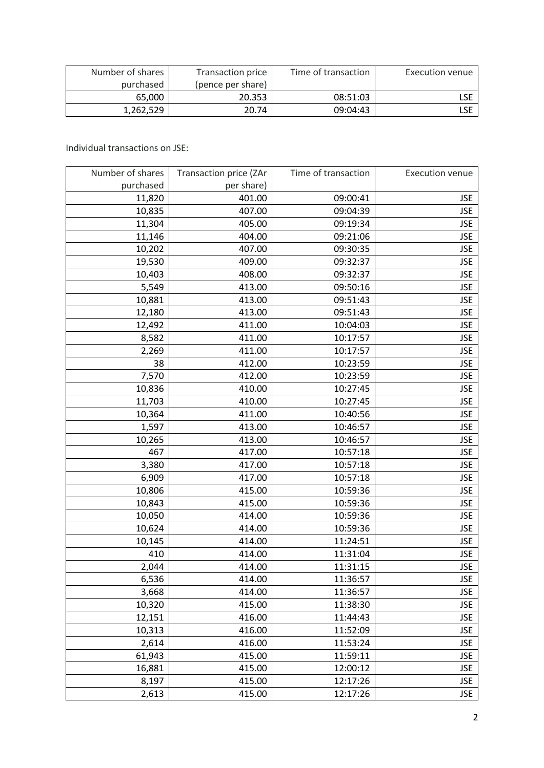| Number of shares | Transaction price | Time of transaction | Execution venue |
|------------------|-------------------|---------------------|-----------------|
| purchased        | (pence per share) |                     |                 |
| 65.000           | 20.353            | 08:51:03            | LSE             |
| 1.262.529        | 20.74             | 09:04:43            |                 |

Individual transactions on JSE:

| Number of shares | Transaction price (ZAr | Time of transaction | <b>Execution venue</b> |
|------------------|------------------------|---------------------|------------------------|
| purchased        | per share)             |                     |                        |
| 11,820           | 401.00                 | 09:00:41            | <b>JSE</b>             |
| 10,835           | 407.00                 | 09:04:39            | <b>JSE</b>             |
| 11,304           | 405.00                 | 09:19:34            | <b>JSE</b>             |
| 11,146           | 404.00                 | 09:21:06            | <b>JSE</b>             |
| 10,202           | 407.00                 | 09:30:35            | <b>JSE</b>             |
| 19,530           | 409.00                 | 09:32:37            | <b>JSE</b>             |
| 10,403           | 408.00                 | 09:32:37            | <b>JSE</b>             |
| 5,549            | 413.00                 | 09:50:16            | <b>JSE</b>             |
| 10,881           | 413.00                 | 09:51:43            | <b>JSE</b>             |
| 12,180           | 413.00                 | 09:51:43            | <b>JSE</b>             |
| 12,492           | 411.00                 | 10:04:03            | <b>JSE</b>             |
| 8,582            | 411.00                 | 10:17:57            | <b>JSE</b>             |
| 2,269            | 411.00                 | 10:17:57            | <b>JSE</b>             |
| 38               | 412.00                 | 10:23:59            | <b>JSE</b>             |
| 7,570            | 412.00                 | 10:23:59            | <b>JSE</b>             |
| 10,836           | 410.00                 | 10:27:45            | <b>JSE</b>             |
| 11,703           | 410.00                 | 10:27:45            | <b>JSE</b>             |
| 10,364           | 411.00                 | 10:40:56            | <b>JSE</b>             |
| 1,597            | 413.00                 | 10:46:57            | <b>JSE</b>             |
| 10,265           | 413.00                 | 10:46:57            | <b>JSE</b>             |
| 467              | 417.00                 | 10:57:18            | <b>JSE</b>             |
| 3,380            | 417.00                 | 10:57:18            | <b>JSE</b>             |
| 6,909            | 417.00                 | 10:57:18            | <b>JSE</b>             |
| 10,806           | 415.00                 | 10:59:36            | <b>JSE</b>             |
| 10,843           | 415.00                 | 10:59:36            | <b>JSE</b>             |
| 10,050           | 414.00                 | 10:59:36            | <b>JSE</b>             |
| 10,624           | 414.00                 | 10:59:36            | <b>JSE</b>             |
| 10,145           | 414.00                 | 11:24:51            | <b>JSE</b>             |
| 410              | 414.00                 | 11:31:04            | <b>JSE</b>             |
| 2,044            | 414.00                 | 11:31:15            | <b>JSE</b>             |
| 6,536            | 414.00                 | 11:36:57            | <b>JSE</b>             |
| 3,668            | 414.00                 | 11:36:57            | <b>JSE</b>             |
| 10,320           | 415.00                 | 11:38:30            | <b>JSE</b>             |
| 12,151           | 416.00                 | 11:44:43            | <b>JSE</b>             |
| 10,313           | 416.00                 | 11:52:09            | <b>JSE</b>             |
| 2,614            | 416.00                 | 11:53:24            | <b>JSE</b>             |
| 61,943           | 415.00                 | 11:59:11            | <b>JSE</b>             |
| 16,881           | 415.00                 | 12:00:12            | <b>JSE</b>             |
| 8,197            | 415.00                 | 12:17:26            | <b>JSE</b>             |
| 2,613            | 415.00                 | 12:17:26            | <b>JSE</b>             |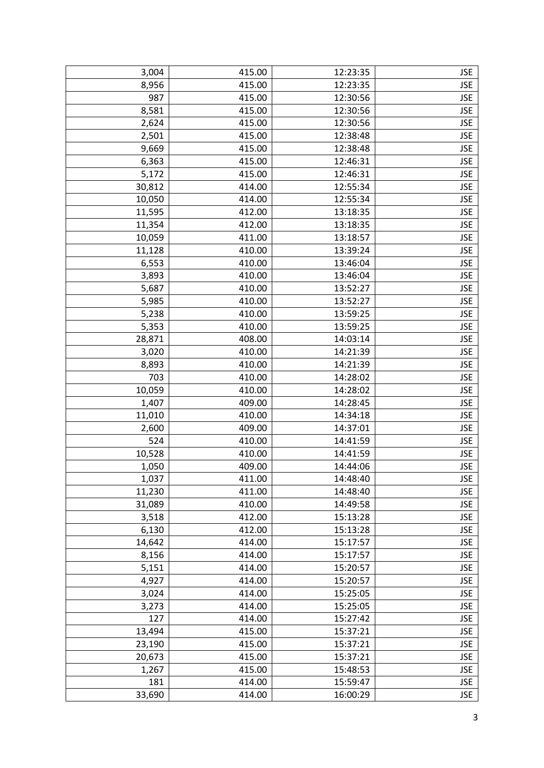| 3,004  | 415.00 | 12:23:35 | <b>JSE</b> |
|--------|--------|----------|------------|
| 8,956  | 415.00 | 12:23:35 | <b>JSE</b> |
| 987    | 415.00 | 12:30:56 | <b>JSE</b> |
| 8,581  | 415.00 | 12:30:56 | <b>JSE</b> |
| 2,624  | 415.00 | 12:30:56 | <b>JSE</b> |
| 2,501  | 415.00 | 12:38:48 | <b>JSE</b> |
| 9,669  | 415.00 | 12:38:48 | <b>JSE</b> |
| 6,363  | 415.00 | 12:46:31 | <b>JSE</b> |
| 5,172  | 415.00 | 12:46:31 | <b>JSE</b> |
| 30,812 | 414.00 | 12:55:34 | <b>JSE</b> |
| 10,050 | 414.00 | 12:55:34 | <b>JSE</b> |
| 11,595 | 412.00 | 13:18:35 | <b>JSE</b> |
| 11,354 | 412.00 | 13:18:35 | <b>JSE</b> |
| 10,059 | 411.00 | 13:18:57 | <b>JSE</b> |
| 11,128 | 410.00 | 13:39:24 | <b>JSE</b> |
| 6,553  | 410.00 | 13:46:04 | <b>JSE</b> |
| 3,893  | 410.00 | 13:46:04 | <b>JSE</b> |
| 5,687  | 410.00 | 13:52:27 | <b>JSE</b> |
| 5,985  | 410.00 | 13:52:27 | <b>JSE</b> |
| 5,238  | 410.00 | 13:59:25 | <b>JSE</b> |
| 5,353  | 410.00 | 13:59:25 | <b>JSE</b> |
| 28,871 | 408.00 | 14:03:14 | <b>JSE</b> |
| 3,020  | 410.00 | 14:21:39 | <b>JSE</b> |
| 8,893  | 410.00 | 14:21:39 | <b>JSE</b> |
| 703    | 410.00 | 14:28:02 | <b>JSE</b> |
| 10,059 | 410.00 | 14:28:02 | <b>JSE</b> |
| 1,407  | 409.00 | 14:28:45 | <b>JSE</b> |
| 11,010 | 410.00 | 14:34:18 | <b>JSE</b> |
| 2,600  | 409.00 | 14:37:01 | <b>JSE</b> |
| 524    | 410.00 | 14:41:59 | <b>JSE</b> |
| 10,528 | 410.00 | 14:41:59 | <b>JSE</b> |
| 1,050  | 409.00 | 14:44:06 | <b>JSE</b> |
| 1,037  | 411.00 | 14:48:40 | <b>JSE</b> |
| 11,230 | 411.00 | 14:48:40 | <b>JSE</b> |
| 31,089 | 410.00 | 14:49:58 | <b>JSE</b> |
| 3,518  | 412.00 | 15:13:28 | <b>JSE</b> |
| 6,130  | 412.00 | 15:13:28 | <b>JSE</b> |
| 14,642 | 414.00 | 15:17:57 | <b>JSE</b> |
| 8,156  | 414.00 | 15:17:57 | <b>JSE</b> |
| 5,151  | 414.00 | 15:20:57 | <b>JSE</b> |
| 4,927  | 414.00 | 15:20:57 | <b>JSE</b> |
| 3,024  | 414.00 | 15:25:05 | <b>JSE</b> |
| 3,273  | 414.00 | 15:25:05 | <b>JSE</b> |
| 127    | 414.00 | 15:27:42 | <b>JSE</b> |
| 13,494 | 415.00 | 15:37:21 | <b>JSE</b> |
| 23,190 | 415.00 | 15:37:21 | <b>JSE</b> |
| 20,673 | 415.00 | 15:37:21 | <b>JSE</b> |
| 1,267  | 415.00 | 15:48:53 | <b>JSE</b> |
| 181    | 414.00 | 15:59:47 | <b>JSE</b> |
| 33,690 | 414.00 | 16:00:29 | <b>JSE</b> |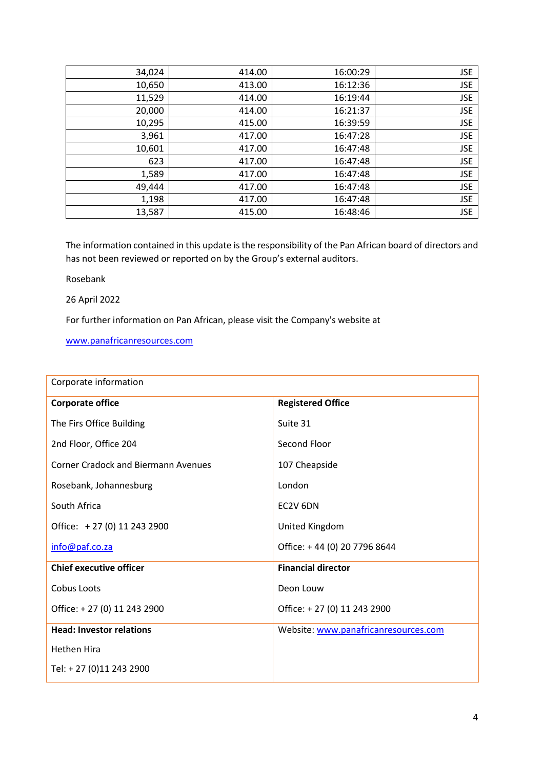| 34,024 | 414.00 | 16:00:29 | <b>JSE</b> |
|--------|--------|----------|------------|
| 10,650 | 413.00 | 16:12:36 | <b>JSE</b> |
| 11,529 | 414.00 | 16:19:44 | <b>JSE</b> |
| 20,000 | 414.00 | 16:21:37 | <b>JSE</b> |
| 10,295 | 415.00 | 16:39:59 | <b>JSE</b> |
| 3,961  | 417.00 | 16:47:28 | <b>JSE</b> |
| 10,601 | 417.00 | 16:47:48 | <b>JSE</b> |
| 623    | 417.00 | 16:47:48 | <b>JSE</b> |
| 1,589  | 417.00 | 16:47:48 | <b>JSE</b> |
| 49,444 | 417.00 | 16:47:48 | <b>JSE</b> |
| 1,198  | 417.00 | 16:47:48 | <b>JSE</b> |
| 13,587 | 415.00 | 16:48:46 | <b>JSE</b> |

The information contained in this update is the responsibility of the Pan African board of directors and has not been reviewed or reported on by the Group's external auditors.

Rosebank

26 April 2022

For further information on Pan African, please visit the Company's website at

[www.panafricanresources.com](http://www.panafricanresources.com/)

| Corporate information                      |                                      |  |
|--------------------------------------------|--------------------------------------|--|
| <b>Corporate office</b>                    | <b>Registered Office</b>             |  |
| The Firs Office Building                   | Suite 31                             |  |
| 2nd Floor, Office 204                      | Second Floor                         |  |
| <b>Corner Cradock and Biermann Avenues</b> | 107 Cheapside                        |  |
| Rosebank, Johannesburg                     | London                               |  |
| South Africa                               | EC2V 6DN                             |  |
| Office: +27 (0) 11 243 2900                | United Kingdom                       |  |
| info@paf.co.za                             | Office: +44 (0) 20 7796 8644         |  |
| <b>Chief executive officer</b>             | <b>Financial director</b>            |  |
| Cobus Loots                                | Deon Louw                            |  |
| Office: +27 (0) 11 243 2900                | Office: +27 (0) 11 243 2900          |  |
| <b>Head: Investor relations</b>            | Website: www.panafricanresources.com |  |
| <b>Hethen Hira</b>                         |                                      |  |
| Tel: + 27 (0)11 243 2900                   |                                      |  |